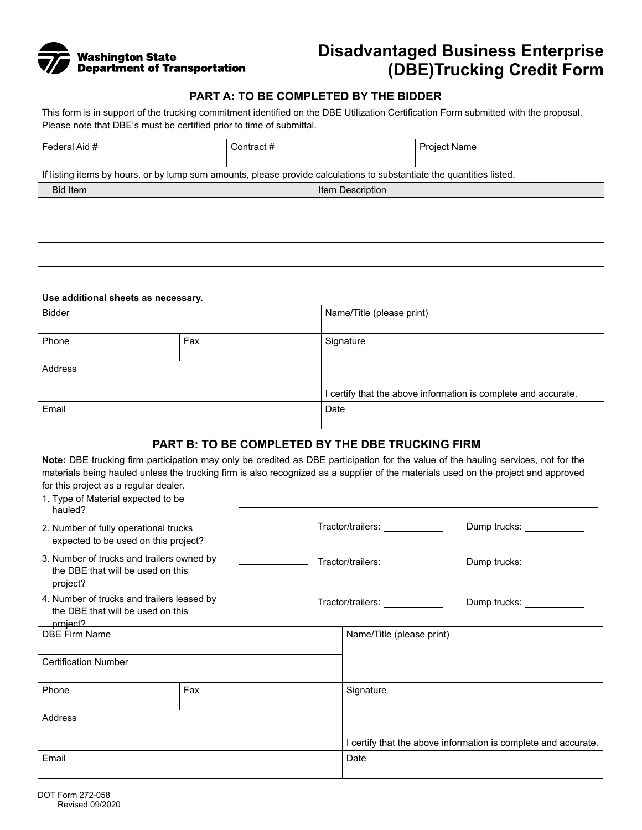

# **Disadvantaged Business Enterprise (DBE)Trucking Credit Form**

## **PART A: TO BE COMPLETED BY THE BIDDER**

This form is in support of the trucking commitment identified on the DBE Utilization Certification Form submitted with the proposal. Please note that DBE's must be certified prior to time of submittal.

| Federal Aid #                                                                                                         |                  | Contract# | Project Name |  |  |  |  |
|-----------------------------------------------------------------------------------------------------------------------|------------------|-----------|--------------|--|--|--|--|
| If listing items by hours, or by lump sum amounts, please provide calculations to substantiate the quantities listed. |                  |           |              |  |  |  |  |
| <b>Bid Item</b>                                                                                                       | Item Description |           |              |  |  |  |  |
|                                                                                                                       |                  |           |              |  |  |  |  |
|                                                                                                                       |                  |           |              |  |  |  |  |
|                                                                                                                       |                  |           |              |  |  |  |  |
|                                                                                                                       |                  |           |              |  |  |  |  |

#### **Use additional sheets as necessary.**

| <b>Bidder</b> |     | Name/Title (please print)                                    |  |  |
|---------------|-----|--------------------------------------------------------------|--|--|
| Phone         | Fax | Signature                                                    |  |  |
| Address       |     |                                                              |  |  |
|               |     | certify that the above information is complete and accurate. |  |  |
| Email         |     | Date                                                         |  |  |

## **PART B: TO BE COMPLETED BY THE DBE TRUCKING FIRM**

**Note:** DBE trucking firm participation may only be credited as DBE participation for the value of the hauling services, not for the materials being hauled unless the trucking firm is also recognized as a supplier of the materials used on the project and approved for this project as a regular dealer.

| 1. Type of Material expected to be<br>hauled?                                               |     |                                |                                 |                                                                |  |
|---------------------------------------------------------------------------------------------|-----|--------------------------------|---------------------------------|----------------------------------------------------------------|--|
| 2. Number of fully operational trucks<br>expected to be used on this project?               |     | Tractor/trailers: ____________ |                                 | Dump trucks: ____________                                      |  |
| 3. Number of trucks and trailers owned by<br>the DBE that will be used on this<br>project?  |     | Tractor/trailers: ____________ |                                 | Dump trucks: _____________                                     |  |
| 4. Number of trucks and trailers leased by<br>the DBE that will be used on this<br>project? |     |                                | Tractor/trailers: _____________ | Dump trucks: _____________                                     |  |
| <b>DBE Firm Name</b>                                                                        |     |                                | Name/Title (please print)       |                                                                |  |
| <b>Certification Number</b>                                                                 |     |                                |                                 |                                                                |  |
| Phone                                                                                       | Fax |                                | Signature                       |                                                                |  |
| Address                                                                                     |     |                                |                                 |                                                                |  |
|                                                                                             |     |                                |                                 | I certify that the above information is complete and accurate. |  |
| Email                                                                                       |     |                                | Date                            |                                                                |  |
|                                                                                             |     |                                |                                 |                                                                |  |